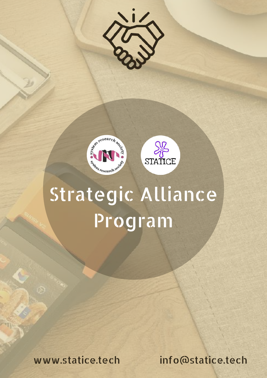





# Strategic Alliance Program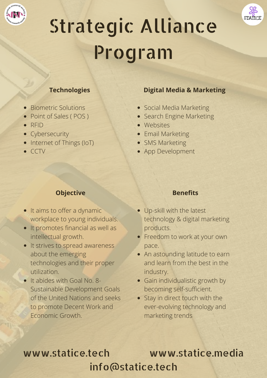



# Strategic Alliance Program

#### **Technologies**

- Biometric Solutions
- Point of Sales (POS)
- RFID
- Cybersecurity
- Internet of Things (IoT)
- $\bullet$  CCTV

### **Objective**

- It aims to offer a dynamic workplace to young individuals.
- It promotes financial as well as intellectual growth.
- It strives to spread awareness about the emerging technologies and their proper utilization.
- It abides with Goal No. 8-Sustainable Development Goals of the United Nations and seeks to promote Decent Work and Economic Growth.

#### **Digital Media & Marketing**

- Social Media Marketing
- Search Engine Marketing
- Websites
- Email Marketing
- SMS Marketing
- App Development

#### **Benefits**

- Up-skill with the latest technology & digital marketing products.
- Freedom to work at your own pace.
- An astounding latitude to earn and learn from the best in the industry.
- Gain individualistic growth by becoming self-sufficient.
- Stay in direct touch with the ever-evolving technology and marketing trends

## www.statice.tech www.statice.media info@statice.tech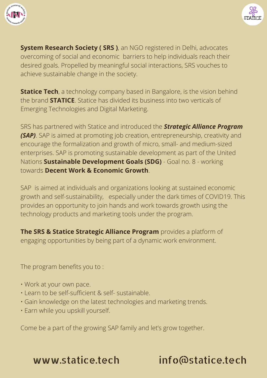



**System Research Society ( SRS )**, an NGO registered in Delhi, advocates overcoming of social and economic barriers to help individuals reach their desired goals. Propelled by meaningful social interactions, SRS vouches to achieve sustainable change in the society.

**Statice Tech**, a technology company based in Bangalore, is the vision behind the brand **STATICE**. Statice has divided its business into two verticals of Emerging Technologies and Digital Marketing.

SRS has partnered with Statice and introduced the *Strategic Alliance Program (SAP)*. SAP is aimed at promoting job creation, entrepreneurship, creativity and encourage the formalization and growth of micro, small- and medium-sized enterprises. SAP is promoting sustainable development as part of the United Nations **Sustainable Development Goals (SDG)** - Goal no. 8 - working towards **Decent Work & Economic Growth**.

SAP is aimed at individuals and organizations looking at sustained economic growth and self-sustainability, especially under the dark times of COVID19. This provides an opportunity to join hands and work towards growth using the technology products and marketing tools under the program.

**The SRS & Statice Strategic Alliance Program** provides a platform of engaging opportunities by being part of a dynamic work environment.

The program benefits you to :

- Work at your own pace.
- Learn to be self-sufficient & self- sustainable.
- Gain knowledge on the latest technologies and marketing trends.
- Earn while you upskill yourself.

Come be a part of the growing SAP family and let's grow together.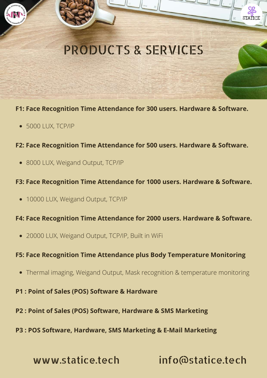

#### **F1: Face Recognition Time Attendance for 300 users. Hardware & Software.**

- 5000 LUX, TCP/IP
- **F2: Face Recognition Time Attendance for 500 users. Hardware & Software.**
	- 8000 LUX, Weigand Output, TCP/IP

#### **F3: Face Recognition Time Attendance for 1000 users. Hardware & Software.**

• 10000 LUX, Weigand Output, TCP/IP

#### **F4: Face Recognition Time Attendance for 2000 users. Hardware & Software.**

20000 LUX, Weigand Output, TCP/IP, Built in WiFi

#### **F5: Face Recognition Time Attendance plus Body Temperature Monitoring**

- Thermal imaging, Weigand Output, Mask recognition & temperature monitoring
- **P1 : Point of Sales (POS) Software & Hardware**
- **P2 : Point of Sales (POS) Software, Hardware & SMS Marketing**
- **P3 : POS Software, Hardware, SMS Marketing & E-Mail Marketing**